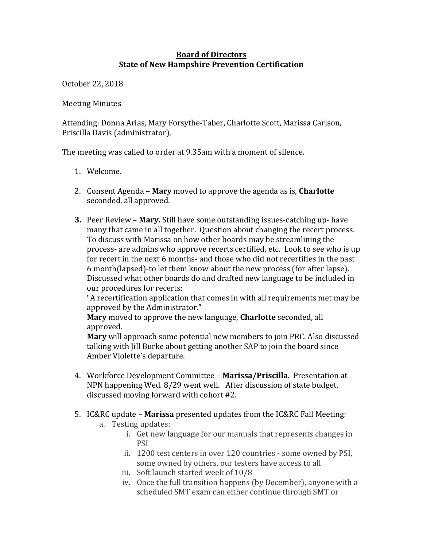## **Board of Directors State of New Hampshire Prevention Certification**

October 22, 2018 

**Meeting Minutes** 

Attending: Donna Arias, Mary Forsythe-Taber, Charlotte Scott, Marissa Carlson, Priscilla Davis (administrator),

The meeting was called to order at 9.35am with a moment of silence.

- 1. Welcome.
- 2. Consent Agenda **Mary** moved to approve the agenda as is, **Charlotte** seconded, all approved.
- **3.** Peer Review Mary. Still have some outstanding issues-catching up- have many that came in all together. Question about changing the recert process. To discuss with Marissa on how other boards may be streamlining the process- are admins who approve recerts certified, etc. Look to see who is up for recert in the next 6 months- and those who did not recertifies in the past 6 month(lapsed)-to let them know about the new process (for after lapse). Discussed what other boards do and drafted new language to be included in our procedures for recerts:

"A recertification application that comes in with all requirements met may be approved by the Administrator."

**Mary** moved to approve the new language, **Charlotte** seconded, all approved. 

**Mary** will approach some potential new members to join PRC. Also discussed talking with Jill Burke about getting another SAP to join the board since Amber Violette's departure.

- 4. Workforce Development Committee Marissa/Priscilla. Presentation at NPN happening Wed. 8/29 went well. After discussion of state budget, discussed moving forward with cohort #2.
- 5. IC&RC update **Marissa** presented updates from the IC&RC Fall Meeting:
	- a. Testing updates:
		- i. Get new language for our manuals that represents changes in PSI
		- ii. 1200 test centers in over 120 countries some owned by PSI, some owned by others, our testers have access to all
		- iii. Soft launch started week of 10/8
		- iv. Once the full transition happens (by December), anyone with a scheduled SMT exam can either continue through SMT or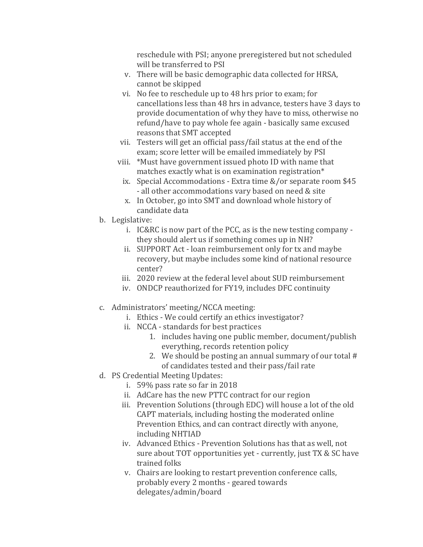reschedule with PSI; anyone preregistered but not scheduled will be transferred to PSI

- v. There will be basic demographic data collected for HRSA, cannot be skipped
- vi. No fee to reschedule up to 48 hrs prior to exam; for cancellations less than 48 hrs in advance, testers have 3 days to provide documentation of why they have to miss, otherwise no refund/have to pay whole fee again - basically same excused reasons that SMT accepted
- vii. Testers will get an official pass/fail status at the end of the exam; score letter will be emailed immediately by PSI
- viii. \*Must have government issued photo ID with name that matches exactly what is on examination registration $*$ 
	- ix. Special Accommodations Extra time  $&/$  or separate room \$45 - all other accommodations vary based on need & site
	- x. In October, go into SMT and download whole history of candidate data
- b. Legislative:
	- i. IC&RC is now part of the PCC, as is the new testing company  $$ they should alert us if something comes up in NH?
	- ii. SUPPORT Act loan reimbursement only for tx and maybe recovery, but maybe includes some kind of national resource center?
	- iii. 2020 review at the federal level about SUD reimbursement
	- iv. ONDCP reauthorized for FY19, includes DFC continuity
- c. Administrators' meeting/NCCA meeting:
	- i. Ethics We could certify an ethics investigator?
		- ii. NCCA standards for best practices
			- 1. includes having one public member, document/publish everything, records retention policy
			- 2. We should be posting an annual summary of our total  $#$ of candidates tested and their pass/fail rate
- d. PS Credential Meeting Updates:
	- i. 59% pass rate so far in 2018
	- ii. AdCare has the new PTTC contract for our region
	- iii. Prevention Solutions (through EDC) will house a lot of the old CAPT materials, including hosting the moderated online Prevention Ethics, and can contract directly with anyone, including NHTIAD
	- iv. Advanced Ethics Prevention Solutions has that as well, not sure about TOT opportunities yet - currently, just TX & SC have trained folks
	- v. Chairs are looking to restart prevention conference calls, probably every 2 months - geared towards delegates/admin/board